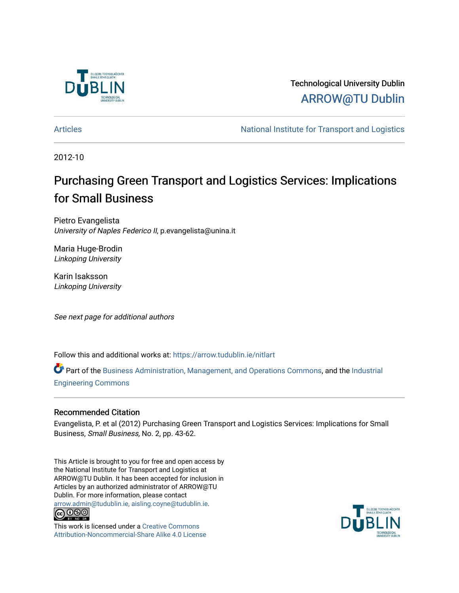

Technological University Dublin [ARROW@TU Dublin](https://arrow.tudublin.ie/) 

[Articles](https://arrow.tudublin.ie/nitlart) **National Institute for Transport and Logistics** Articles

2012-10

## Purchasing Green Transport and Logistics Services: Implications for Small Business

Pietro Evangelista University of Naples Federico II, p.evangelista@unina.it

Maria Huge-Brodin Linkoping University

Karin Isaksson Linkoping University

See next page for additional authors

Follow this and additional works at: [https://arrow.tudublin.ie/nitlart](https://arrow.tudublin.ie/nitlart?utm_source=arrow.tudublin.ie%2Fnitlart%2F33&utm_medium=PDF&utm_campaign=PDFCoverPages) 

Part of the [Business Administration, Management, and Operations Commons](http://network.bepress.com/hgg/discipline/623?utm_source=arrow.tudublin.ie%2Fnitlart%2F33&utm_medium=PDF&utm_campaign=PDFCoverPages), and the [Industrial](http://network.bepress.com/hgg/discipline/307?utm_source=arrow.tudublin.ie%2Fnitlart%2F33&utm_medium=PDF&utm_campaign=PDFCoverPages)  [Engineering Commons](http://network.bepress.com/hgg/discipline/307?utm_source=arrow.tudublin.ie%2Fnitlart%2F33&utm_medium=PDF&utm_campaign=PDFCoverPages) 

#### Recommended Citation

Evangelista, P. et al (2012) Purchasing Green Transport and Logistics Services: Implications for Small Business, Small Business, No. 2, pp. 43-62.

This Article is brought to you for free and open access by the National Institute for Transport and Logistics at ARROW@TU Dublin. It has been accepted for inclusion in Articles by an authorized administrator of ARROW@TU Dublin. For more information, please contact [arrow.admin@tudublin.ie, aisling.coyne@tudublin.ie](mailto:arrow.admin@tudublin.ie,%20aisling.coyne@tudublin.ie).<br>
co 000



This work is licensed under a [Creative Commons](http://creativecommons.org/licenses/by-nc-sa/4.0/) [Attribution-Noncommercial-Share Alike 4.0 License](http://creativecommons.org/licenses/by-nc-sa/4.0/)

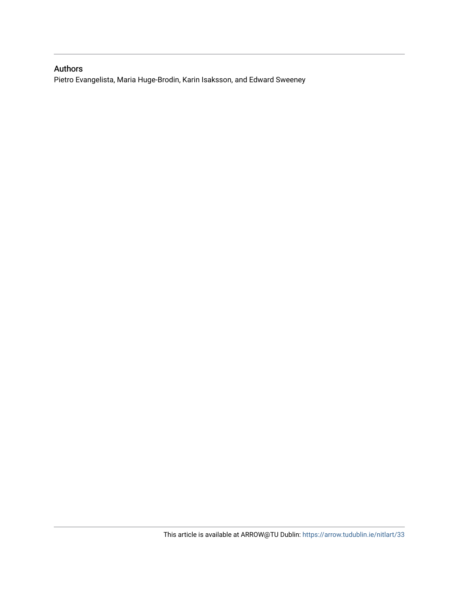#### Authors

Pietro Evangelista, Maria Huge-Brodin, Karin Isaksson, and Edward Sweeney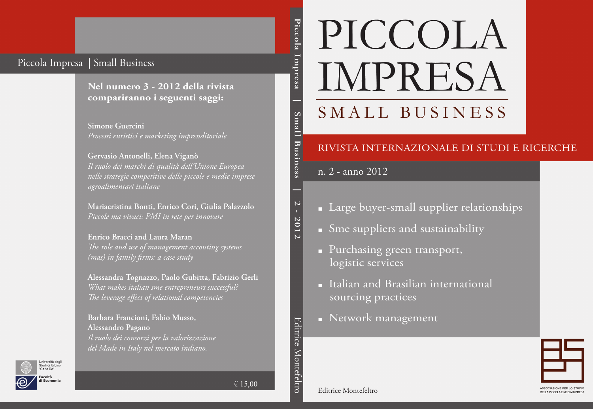## Piccola Impresa | Small Business

**Nel numero 3 - 2012 della rivista compariranno i seguenti saggi:**

**Simone Guercini** *Processi euristici e marketing imprenditoriale*

**Gervasio Antonelli, Elena Viganò** *Il ruolo dei marchi di qualità dell'Unione Europea nelle strategie competitive delle piccole e medie imprese agroalimentari italiane*

**Mariacristina Bonti, Enrico Cori, Giulia Palazzolo** *Piccole ma vivaci: PMI in rete per innovare*

**Enrico Bracci and Laura Maran** *The role and use of management accouting systems (mas) in family firms: a case study*

**Alessandra Tognazzo, Paolo Gubitta, Fabrizio Gerli** *What makes italian sme entrepreneurs successful? The leverage effect of relational competencies*

**Barbara Francioni, Fabio Musso, Alessandro Pagano** *Il ruolo dei consorzi per la valorizzazione del Made in Italy nel mercato indiano.*

Piccola Impresa **Piccola Impresa | Small Business | 2 - 2012** Small Business

 $\overline{\mathsf{C}}$ 

2012

# PICCOLA IMPRESA SMALL BUSINESS

### RIVISTA INTERNAZIONALE DI STUDI E RICERCHE

n. 2 - anno 2012

- Large buyer-small supplier relationships
- Sme suppliers and sustainability
- Purchasing green transport, logistic services
- Italian and Brasilian international sourcing practices
- Network management



Editrice Montefeltro



 $\in 15,00$ 

Editrice Montefeltro

Editrice Montefeltro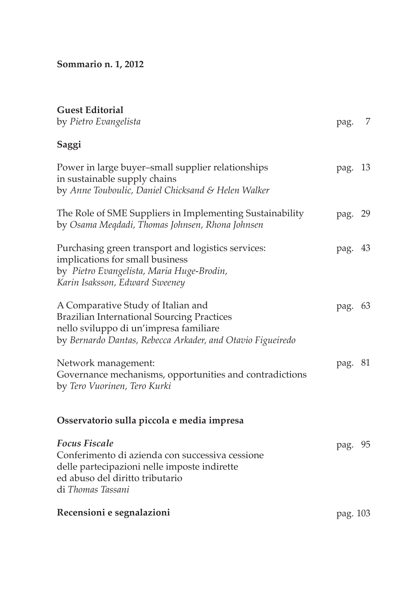**Sommario n. 1, 2012**

| <b>Guest Editorial</b><br>by Pietro Evangelista                                                                                                                                                 | pag. 7   |  |
|-------------------------------------------------------------------------------------------------------------------------------------------------------------------------------------------------|----------|--|
| Saggi                                                                                                                                                                                           |          |  |
| Power in large buyer-small supplier relationships<br>in sustainable supply chains<br>by Anne Touboulic, Daniel Chicksand & Helen Walker                                                         | pag. 13  |  |
| The Role of SME Suppliers in Implementing Sustainability<br>by Osama Meqdadi, Thomas Johnsen, Rhona Johnsen                                                                                     | pag. 29  |  |
| Purchasing green transport and logistics services:<br>implications for small business<br>by Pietro Evangelista, Maria Huge-Brodin,<br>Karin Isaksson, Edward Sweeney                            | pag. 43  |  |
| A Comparative Study of Italian and<br><b>Brazilian International Sourcing Practices</b><br>nello sviluppo di un'impresa familiare<br>by Bernardo Dantas, Rebecca Arkader, and Otavio Figueiredo | pag. 63  |  |
| Network management:<br>Governance mechanisms, opportunities and contradictions<br>by Tero Vuorinen, Tero Kurki                                                                                  | pag. 81  |  |
| Osservatorio sulla piccola e media impresa                                                                                                                                                      |          |  |
| <b>Focus Fiscale</b><br>Conferimento di azienda con successiva cessione<br>delle partecipazioni nelle imposte indirette<br>ed abuso del diritto tributario<br>di Thomas Tassani                 | pag. 95  |  |
| Recensioni e segnalazioni                                                                                                                                                                       | pag. 103 |  |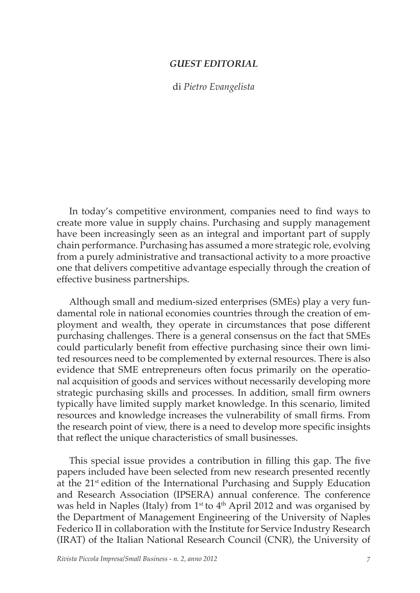#### *GUEST EDITORIAL*

di *Pietro Evangelista*

In today's competitive environment, companies need to find ways to create more value in supply chains. Purchasing and supply management have been increasingly seen as an integral and important part of supply chain performance. Purchasing has assumed a more strategic role, evolving from a purely administrative and transactional activity to a more proactive one that delivers competitive advantage especially through the creation of effective business partnerships.

Although small and medium-sized enterprises (SMEs) play a very fundamental role in national economies countries through the creation of employment and wealth, they operate in circumstances that pose different purchasing challenges. There is a general consensus on the fact that SMEs could particularly benefit from effective purchasing since their own limited resources need to be complemented by external resources. There is also evidence that SME entrepreneurs often focus primarily on the operational acquisition of goods and services without necessarily developing more strategic purchasing skills and processes. In addition, small firm owners typically have limited supply market knowledge. In this scenario, limited resources and knowledge increases the vulnerability of small firms. From the research point of view, there is a need to develop more specific insights that reflect the unique characteristics of small businesses.

This special issue provides a contribution in filling this gap. The five papers included have been selected from new research presented recently at the  $21<sup>st</sup>$  edition of the International Purchasing and Supply Education and Research Association (IPSERA) annual conference. The conference was held in Naples (Italy) from  $1<sup>st</sup>$  to  $4<sup>th</sup>$  April 2012 and was organised by the Department of Management Engineering of the University of Naples Federico II in collaboration with the Institute for Service Industry Research (IRAT) of the Italian National Research Council (CNR), the University of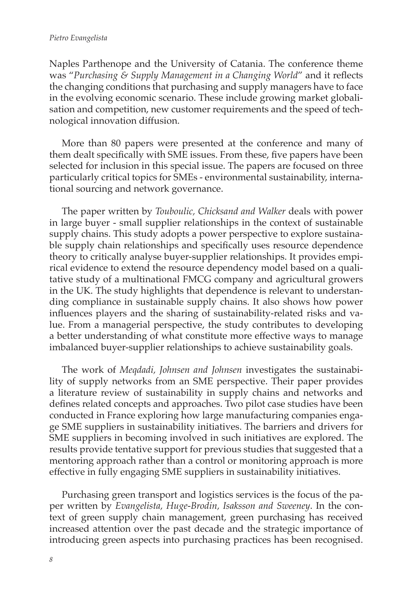Naples Parthenope and the University of Catania. The conference theme was "*Purchasing & Supply Management in a Changing World*" and it reflects the changing conditions that purchasing and supply managers have to face in the evolving economic scenario. These include growing market globalisation and competition, new customer requirements and the speed of technological innovation diffusion.

More than 80 papers were presented at the conference and many of them dealt specifically with SME issues. From these, five papers have been selected for inclusion in this special issue. The papers are focused on three particularly critical topics for SMEs - environmental sustainability, international sourcing and network governance.

The paper written by *Touboulic, Chicksand and Walker* deals with power in large buyer - small supplier relationships in the context of sustainable supply chains. This study adopts a power perspective to explore sustainable supply chain relationships and specifically uses resource dependence theory to critically analyse buyer-supplier relationships. It provides empirical evidence to extend the resource dependency model based on a qualitative study of a multinational FMCG company and agricultural growers in the UK. The study highlights that dependence is relevant to understanding compliance in sustainable supply chains. It also shows how power influences players and the sharing of sustainability-related risks and value. From a managerial perspective, the study contributes to developing a better understanding of what constitute more effective ways to manage imbalanced buyer-supplier relationships to achieve sustainability goals.

The work of *Meqdadi, Johnsen and Johnsen* investigates the sustainability of supply networks from an SME perspective. Their paper provides a literature review of sustainability in supply chains and networks and defines related concepts and approaches. Two pilot case studies have been conducted in France exploring how large manufacturing companies engage SME suppliers in sustainability initiatives. The barriers and drivers for SME suppliers in becoming involved in such initiatives are explored. The results provide tentative support for previous studies that suggested that a mentoring approach rather than a control or monitoring approach is more effective in fully engaging SME suppliers in sustainability initiatives.

Purchasing green transport and logistics services is the focus of the paper written by *Evangelista, Huge-Brodin, Isaksson and Sweeney*. In the context of green supply chain management, green purchasing has received increased attention over the past decade and the strategic importance of introducing green aspects into purchasing practices has been recognised.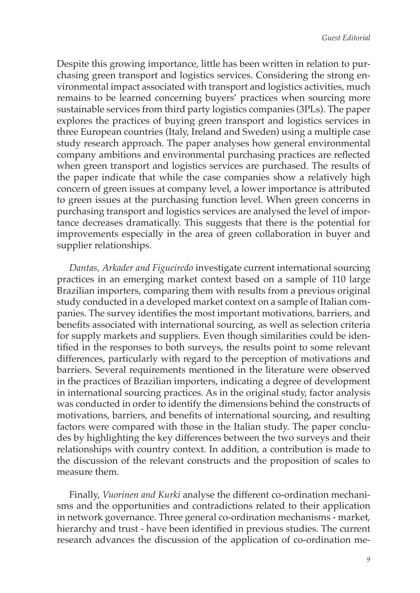Despite this growing importance, little has been written in relation to purchasing green transport and logistics services. Considering the strong environmental impact associated with transport and logistics activities, much remains to be learned concerning buyers' practices when sourcing more sustainable services from third party logistics companies (3PLs). The paper explores the practices of buying green transport and logistics services in three European countries (Italy, Ireland and Sweden) using a multiple case study research approach. The paper analyses how general environmental company ambitions and environmental purchasing practices are reflected when green transport and logistics services are purchased. The results of the paper indicate that while the case companies show a relatively high concern of green issues at company level, a lower importance is attributed to green issues at the purchasing function level. When green concerns in purchasing transport and logistics services are analysed the level of importance decreases dramatically. This suggests that there is the potential for improvements especially in the area of green collaboration in buyer and supplier relationships.

*Dantas, Arkader and Figueiredo* investigate current international sourcing practices in an emerging market context based on a sample of 110 large Brazilian importers, comparing them with results from a previous original study conducted in a developed market context on a sample of Italian companies. The survey identifies the most important motivations, barriers, and benefits associated with international sourcing, as well as selection criteria for supply markets and suppliers. Even though similarities could be identified in the responses to both surveys, the results point to some relevant differences, particularly with regard to the perception of motivations and barriers. Several requirements mentioned in the literature were observed in the practices of Brazilian importers, indicating a degree of development in international sourcing practices. As in the original study, factor analysis was conducted in order to identify the dimensions behind the constructs of motivations, barriers, and benefits of international sourcing, and resulting factors were compared with those in the Italian study. The paper concludes by highlighting the key differences between the two surveys and their relationships with country context. In addition, a contribution is made to the discussion of the relevant constructs and the proposition of scales to measure them.

Finally, *Vuorinen and Kurki* analyse the different co-ordination mechanisms and the opportunities and contradictions related to their application in network governance. Three general co-ordination mechanisms - market, hierarchy and trust - have been identified in previous studies. The current research advances the discussion of the application of co-ordination me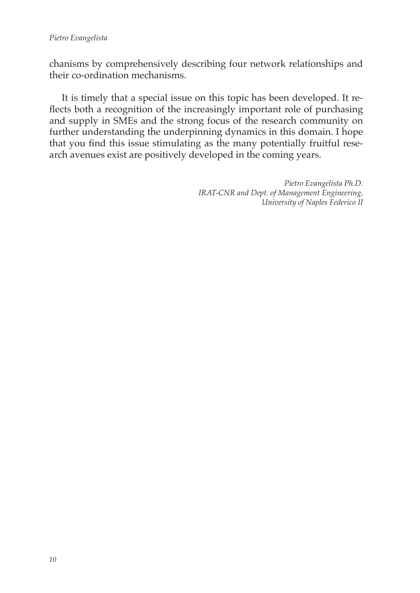chanisms by comprehensively describing four network relationships and their co-ordination mechanisms.

It is timely that a special issue on this topic has been developed. It reflects both a recognition of the increasingly important role of purchasing and supply in SMEs and the strong focus of the research community on further understanding the underpinning dynamics in this domain. I hope that you find this issue stimulating as the many potentially fruitful research avenues exist are positively developed in the coming years.

> *Pietro Evangelista Ph.D. IRAT-CNR and Dept. of Management Engineering, University of Naples Federico II*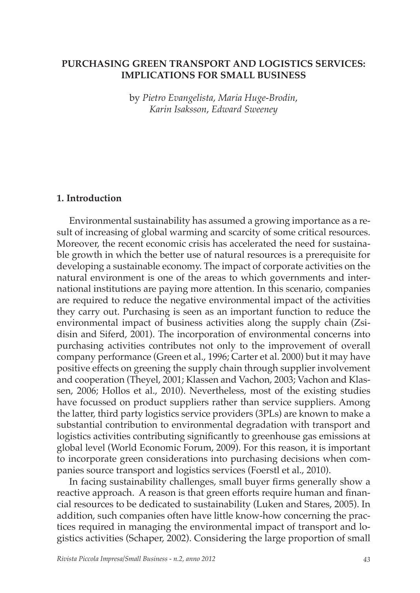#### **PURCHASING GREEN TRANSPORT AND LOGISTICS SERVICES: IMPLICATIONS FOR SMALL BUSINESS**

by *Pietro Evangelista*, *Maria Huge-Brodin*, *Karin Isaksson*, *Edward Sweeney*

#### **1. Introduction**

Environmental sustainability has assumed a growing importance as a result of increasing of global warming and scarcity of some critical resources. Moreover, the recent economic crisis has accelerated the need for sustainable growth in which the better use of natural resources is a prerequisite for developing a sustainable economy. The impact of corporate activities on the natural environment is one of the areas to which governments and international institutions are paying more attention. In this scenario, companies are required to reduce the negative environmental impact of the activities they carry out. Purchasing is seen as an important function to reduce the environmental impact of business activities along the supply chain (Zsidisin and Siferd, 2001). The incorporation of environmental concerns into purchasing activities contributes not only to the improvement of overall company performance (Green et al., 1996; Carter et al. 2000) but it may have positive effects on greening the supply chain through supplier involvement and cooperation (Theyel, 2001; Klassen and Vachon, 2003; Vachon and Klassen, 2006; Hollos et al., 2010). Nevertheless, most of the existing studies have focussed on product suppliers rather than service suppliers. Among the latter, third party logistics service providers (3PLs) are known to make a substantial contribution to environmental degradation with transport and logistics activities contributing significantly to greenhouse gas emissions at global level (World Economic Forum, 2009). For this reason, it is important to incorporate green considerations into purchasing decisions when companies source transport and logistics services (Foerstl et al., 2010).

In facing sustainability challenges, small buyer firms generally show a reactive approach. A reason is that green efforts require human and financial resources to be dedicated to sustainability (Luken and Stares, 2005). In addition, such companies often have little know-how concerning the practices required in managing the environmental impact of transport and logistics activities (Schaper, 2002). Considering the large proportion of small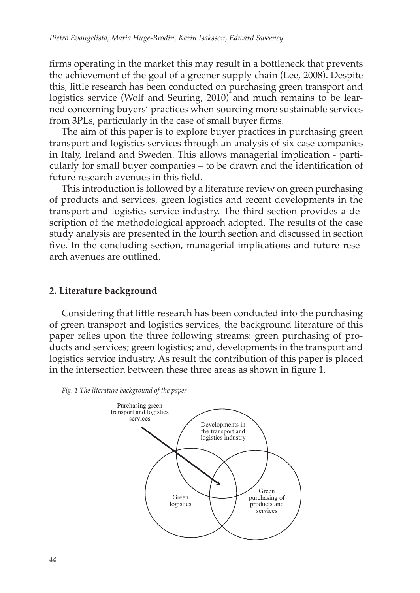firms operating in the market this may result in a bottleneck that prevents the achievement of the goal of a greener supply chain (Lee, 2008). Despite this, little research has been conducted on purchasing green transport and logistics service (Wolf and Seuring, 2010) and much remains to be learned concerning buyers' practices when sourcing more sustainable services from 3PLs, particularly in the case of small buyer firms.

The aim of this paper is to explore buyer practices in purchasing green transport and logistics services through an analysis of six case companies in Italy, Ireland and Sweden. This allows managerial implication - particularly for small buyer companies – to be drawn and the identification of future research avenues in this field.

This introduction is followed by a literature review on green purchasing of products and services, green logistics and recent developments in the transport and logistics service industry. The third section provides a description of the methodological approach adopted. The results of the case study analysis are presented in the fourth section and discussed in section five. In the concluding section, managerial implications and future research avenues are outlined.

#### **2. Literature background**

Considering that little research has been conducted into the purchasing of green transport and logistics services, the background literature of this paper relies upon the three following streams: green purchasing of products and services; green logistics; and, developments in the transport and logistics service industry. As result the contribution of this paper is placed in the intersection between these three areas as shown in figure 1.



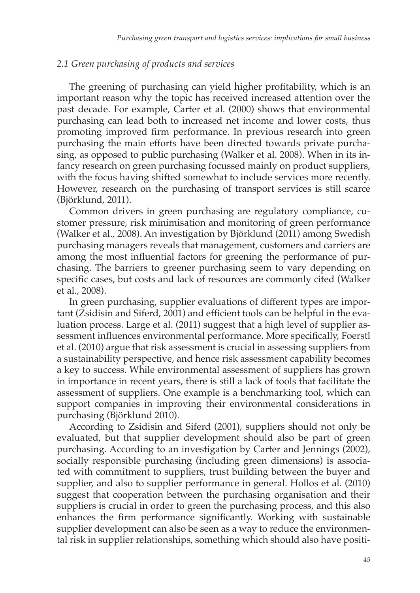#### *2.1 Green purchasing of products and services*

The greening of purchasing can yield higher profitability, which is an important reason why the topic has received increased attention over the past decade. For example, Carter et al. (2000) shows that environmental purchasing can lead both to increased net income and lower costs, thus promoting improved firm performance. In previous research into green purchasing the main efforts have been directed towards private purchasing, as opposed to public purchasing (Walker et al. 2008). When in its infancy research on green purchasing focussed mainly on product suppliers, with the focus having shifted somewhat to include services more recently. However, research on the purchasing of transport services is still scarce (Björklund, 2011).

Common drivers in green purchasing are regulatory compliance, customer pressure, risk minimisation and monitoring of green performance (Walker et al., 2008). An investigation by Björklund (2011) among Swedish purchasing managers reveals that management, customers and carriers are among the most influential factors for greening the performance of purchasing. The barriers to greener purchasing seem to vary depending on specific cases, but costs and lack of resources are commonly cited (Walker et al., 2008).

In green purchasing, supplier evaluations of different types are important (Zsidisin and Siferd, 2001) and efficient tools can be helpful in the evaluation process. Large et al. (2011) suggest that a high level of supplier assessment influences environmental performance. More specifically, Foerstl et al. (2010) argue that risk assessment is crucial in assessing suppliers from a sustainability perspective, and hence risk assessment capability becomes a key to success. While environmental assessment of suppliers has grown in importance in recent years, there is still a lack of tools that facilitate the assessment of suppliers. One example is a benchmarking tool, which can support companies in improving their environmental considerations in purchasing (Björklund 2010).

According to Zsidisin and Siferd (2001), suppliers should not only be evaluated, but that supplier development should also be part of green purchasing. According to an investigation by Carter and Jennings (2002), socially responsible purchasing (including green dimensions) is associated with commitment to suppliers, trust building between the buyer and supplier, and also to supplier performance in general. Hollos et al. (2010) suggest that cooperation between the purchasing organisation and their suppliers is crucial in order to green the purchasing process, and this also enhances the firm performance significantly. Working with sustainable supplier development can also be seen as a way to reduce the environmental risk in supplier relationships, something which should also have positi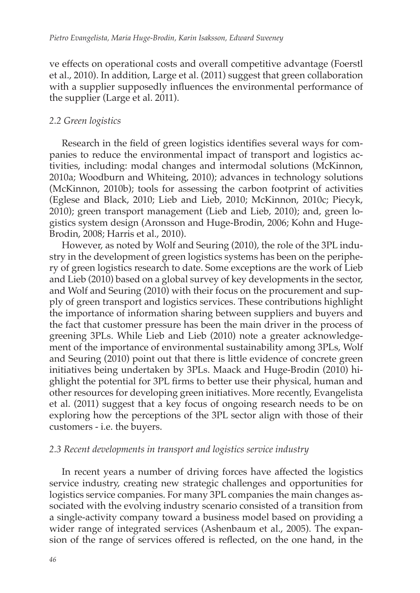ve effects on operational costs and overall competitive advantage (Foerstl et al., 2010). In addition, Large et al. (2011) suggest that green collaboration with a supplier supposedly influences the environmental performance of the supplier (Large et al. 2011).

#### *2.2 Green logistics*

Research in the field of green logistics identifies several ways for companies to reduce the environmental impact of transport and logistics activities, including: modal changes and intermodal solutions (McKinnon, 2010a; Woodburn and Whiteing, 2010); advances in technology solutions (McKinnon, 2010b); tools for assessing the carbon footprint of activities (Eglese and Black, 2010; Lieb and Lieb, 2010; McKinnon, 2010c; Piecyk, 2010); green transport management (Lieb and Lieb, 2010); and, green logistics system design (Aronsson and Huge-Brodin, 2006; Kohn and Huge-Brodin, 2008; Harris et al., 2010).

However, as noted by Wolf and Seuring (2010), the role of the 3PL industry in the development of green logistics systems has been on the periphery of green logistics research to date. Some exceptions are the work of Lieb and Lieb (2010) based on a global survey of key developments in the sector, and Wolf and Seuring (2010) with their focus on the procurement and supply of green transport and logistics services. These contributions highlight the importance of information sharing between suppliers and buyers and the fact that customer pressure has been the main driver in the process of greening 3PLs. While Lieb and Lieb (2010) note a greater acknowledgement of the importance of environmental sustainability among 3PLs, Wolf and Seuring (2010) point out that there is little evidence of concrete green initiatives being undertaken by 3PLs. Maack and Huge-Brodin (2010) highlight the potential for 3PL firms to better use their physical, human and other resources for developing green initiatives. More recently, Evangelista et al. (2011) suggest that a key focus of ongoing research needs to be on exploring how the perceptions of the 3PL sector align with those of their customers - i.e. the buyers.

#### *2.3 Recent developments in transport and logistics service industry*

In recent years a number of driving forces have affected the logistics service industry, creating new strategic challenges and opportunities for logistics service companies. For many 3PL companies the main changes associated with the evolving industry scenario consisted of a transition from a single-activity company toward a business model based on providing a wider range of integrated services (Ashenbaum et al., 2005). The expansion of the range of services offered is reflected, on the one hand, in the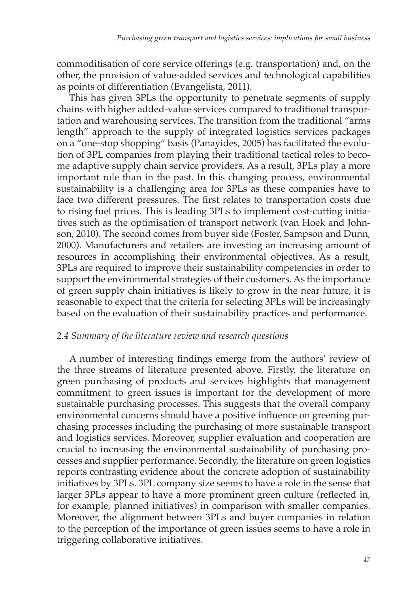commoditisation of core service offerings (e.g. transportation) and, on the other, the provision of value-added services and technological capabilities as points of differentiation (Evangelista, 2011).

This has given 3PLs the opportunity to penetrate segments of supply chains with higher added-value services compared to traditional transportation and warehousing services. The transition from the traditional "arms length" approach to the supply of integrated logistics services packages on a "one-stop shopping" basis (Panayides, 2005) has facilitated the evolution of 3PL companies from playing their traditional tactical roles to become adaptive supply chain service providers. As a result, 3PLs play a more important role than in the past. In this changing process, environmental sustainability is a challenging area for 3PLs as these companies have to face two different pressures. The first relates to transportation costs due to rising fuel prices. This is leading 3PLs to implement cost-cutting initiatives such as the optimisation of transport network (van Hoek and Johnson, 2010). The second comes from buyer side (Foster, Sampson and Dunn, 2000). Manufacturers and retailers are investing an increasing amount of resources in accomplishing their environmental objectives. As a result, 3PLs are required to improve their sustainability competencies in order to support the environmental strategies of their customers. As the importance of green supply chain initiatives is likely to grow in the near future, it is reasonable to expect that the criteria for selecting 3PLs will be increasingly based on the evaluation of their sustainability practices and performance.

#### *2.4 Summary of the literature review and research questions*

A number of interesting findings emerge from the authors' review of the three streams of literature presented above. Firstly, the literature on green purchasing of products and services highlights that management commitment to green issues is important for the development of more sustainable purchasing processes. This suggests that the overall company environmental concerns should have a positive influence on greening purchasing processes including the purchasing of more sustainable transport and logistics services. Moreover, supplier evaluation and cooperation are crucial to increasing the environmental sustainability of purchasing processes and supplier performance. Secondly, the literature on green logistics reports contrasting evidence about the concrete adoption of sustainability initiatives by 3PLs. 3PL company size seems to have a role in the sense that larger 3PLs appear to have a more prominent green culture (reflected in, for example, planned initiatives) in comparison with smaller companies. Moreover, the alignment between 3PLs and buyer companies in relation to the perception of the importance of green issues seems to have a role in triggering collaborative initiatives.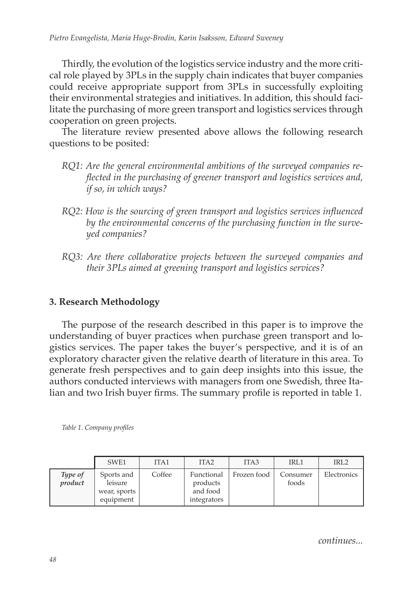Thirdly, the evolution of the logistics service industry and the more critical role played by 3PLs in the supply chain indicates that buyer companies could receive appropriate support from 3PLs in successfully exploiting their environmental strategies and initiatives. In addition, this should facilitate the purchasing of more green transport and logistics services through cooperation on green projects.

The literature review presented above allows the following research questions to be posited:

- *RQ1: Are the general environmental ambitions of the surveyed companies reflected in the purchasing of greener transport and logistics services and, if so, in which ways?*
- *RQ2: How is the sourcing of green transport and logistics services influenced by the environmental concerns of the purchasing function in the surveyed companies?*
- *RQ3: Are there collaborative projects between the surveyed companies and their 3PLs aimed at greening transport and logistics services?*

#### **3. Research Methodology**

The purpose of the research described in this paper is to improve the understanding of buyer practices when purchase green transport and logistics services. The paper takes the buyer's perspective, and it is of an exploratory character given the relative dearth of literature in this area. To generate fresh perspectives and to gain deep insights into this issue, the authors conducted interviews with managers from one Swedish, three Italian and two Irish buyer firms. The summary profile is reported in table 1.

|                    | SWE1                                               | ITA1   | ITA <sub>2</sub>                                  | ITA <sub>3</sub> | IRL1              | IRL <sub>2</sub> |
|--------------------|----------------------------------------------------|--------|---------------------------------------------------|------------------|-------------------|------------------|
| Type of<br>product | Sports and<br>leisure<br>wear, sports<br>equipment | Coffee | Functional<br>products<br>and food<br>integrators | Frozen food      | Consumer<br>foods | Electronics      |

*Table 1. Company profiles*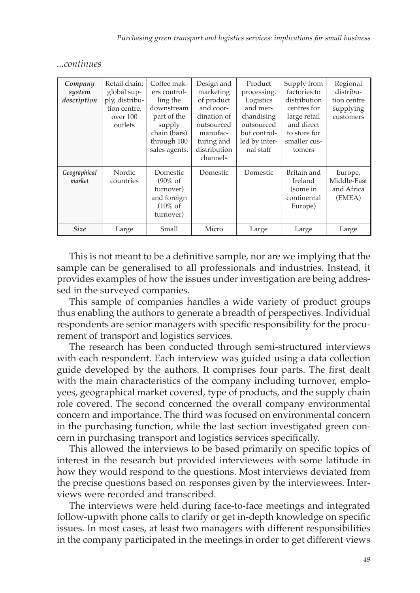| continues |
|-----------|
|-----------|

| Company<br>system<br>description | Retail chain:<br>global sup-<br>ply, distribu-<br>tion centre,<br>over 100<br>outlets | Coffee mak-<br>ers control-<br>ling the<br>downstream<br>part of the<br>supply<br>chain (bars)<br>through 100<br>sales agents. | Design and<br>marketing<br>of product<br>and coor-<br>dination of<br>outsourced<br>manufac-<br>turing and<br>distribution<br>channels | Product<br>processing.<br>Logistics<br>and mer-<br>chandising<br>outsourced<br>but control-<br>led by inter-<br>nal staff | Supply from<br>factories to<br>distribution<br>centres for<br>large retail<br>and direct<br>to store for<br>smaller cus-<br>tomers | Regional<br>distribu-<br>tion centre<br>supplying<br>customers |
|----------------------------------|---------------------------------------------------------------------------------------|--------------------------------------------------------------------------------------------------------------------------------|---------------------------------------------------------------------------------------------------------------------------------------|---------------------------------------------------------------------------------------------------------------------------|------------------------------------------------------------------------------------------------------------------------------------|----------------------------------------------------------------|
| Geographical<br>market           | Nordic<br>countries                                                                   | Domestic<br>$(90\% \text{ of }$<br>turnover)<br>and foreign<br>$(10\% \text{ of }$<br>turnover)                                | Domestic                                                                                                                              | Domestic                                                                                                                  | Britain and<br>Ireland<br>(some in<br>continental<br>Europe)                                                                       | Europe,<br>Middle-East<br>and Africa<br>(EMEA)                 |
| <b>Size</b>                      | Large                                                                                 | Small                                                                                                                          | Micro                                                                                                                                 | Large                                                                                                                     | Large                                                                                                                              | Large                                                          |

This is not meant to be a definitive sample, nor are we implying that the sample can be generalised to all professionals and industries. Instead, it provides examples of how the issues under investigation are being addressed in the surveyed companies.

This sample of companies handles a wide variety of product groups thus enabling the authors to generate a breadth of perspectives. Individual respondents are senior managers with specific responsibility for the procurement of transport and logistics services.

The research has been conducted through semi-structured interviews with each respondent. Each interview was guided using a data collection guide developed by the authors. It comprises four parts. The first dealt with the main characteristics of the company including turnover, employees, geographical market covered, type of products, and the supply chain role covered. The second concerned the overall company environmental concern and importance. The third was focused on environmental concern in the purchasing function, while the last section investigated green concern in purchasing transport and logistics services specifically.

This allowed the interviews to be based primarily on specific topics of interest in the research but provided interviewees with some latitude in how they would respond to the questions. Most interviews deviated from the precise questions based on responses given by the interviewees. Interviews were recorded and transcribed.

The interviews were held during face-to-face meetings and integrated follow-upwith phone calls to clarify or get in-depth knowledge on specific issues. In most cases, at least two managers with different responsibilities in the company participated in the meetings in order to get different views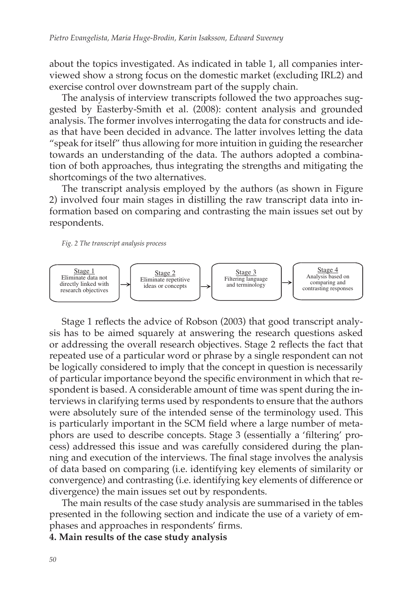about the topics investigated. As indicated in table 1, all companies interviewed show a strong focus on the domestic market (excluding IRL2) and exercise control over downstream part of the supply chain.

The analysis of interview transcripts followed the two approaches suggested by Easterby-Smith et al. (2008): content analysis and grounded analysis. The former involves interrogating the data for constructs and ideas that have been decided in advance. The latter involves letting the data "speak for itself" thus allowing for more intuition in guiding the researcher towards an understanding of the data. The authors adopted a combination of both approaches, thus integrating the strengths and mitigating the shortcomings of the two alternatives.

The transcript analysis employed by the authors (as shown in Figure 2) involved four main stages in distilling the raw transcript data into information based on comparing and contrasting the main issues set out by respondents.

#### *Fig. 2 The transcript analysis process*



Stage 1 reflects the advice of Robson (2003) that good transcript analysis has to be aimed squarely at answering the research questions asked or addressing the overall research objectives. Stage 2 reflects the fact that repeated use of a particular word or phrase by a single respondent can not be logically considered to imply that the concept in question is necessarily of particular importance beyond the specific environment in which that respondent is based. A considerable amount of time was spent during the interviews in clarifying terms used by respondents to ensure that the authors were absolutely sure of the intended sense of the terminology used. This is particularly important in the SCM field where a large number of metaphors are used to describe concepts. Stage 3 (essentially a 'filtering' process) addressed this issue and was carefully considered during the planning and execution of the interviews. The final stage involves the analysis of data based on comparing (i.e. identifying key elements of similarity or convergence) and contrasting (i.e. identifying key elements of difference or divergence) the main issues set out by respondents.

The main results of the case study analysis are summarised in the tables presented in the following section and indicate the use of a variety of emphases and approaches in respondents' firms.

**4. Main results of the case study analysis**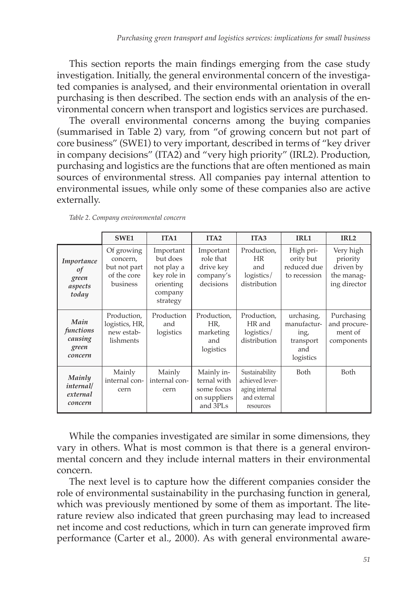This section reports the main findings emerging from the case study investigation. Initially, the general environmental concern of the investigated companies is analysed, and their environmental orientation in overall purchasing is then described. The section ends with an analysis of the environmental concern when transport and logistics services are purchased.

The overall environmental concerns among the buying companies (summarised in Table 2) vary, from "of growing concern but not part of core business" (SWE1) to very important, described in terms of "key driver in company decisions" (ITA2) and "very high priority" (IRL2). Production, purchasing and logistics are the functions that are often mentioned as main sources of environmental stress. All companies pay internal attention to environmental issues, while only some of these companies also are active externally.

|                                                  | SWE1                                                              | ITA <sub>1</sub>                                                                       | ITA <sub>2</sub>                                                    | ITA <sub>3</sub>                                                                 | IRL1                                                               | IRL <sub>2</sub>                                                 |
|--------------------------------------------------|-------------------------------------------------------------------|----------------------------------------------------------------------------------------|---------------------------------------------------------------------|----------------------------------------------------------------------------------|--------------------------------------------------------------------|------------------------------------------------------------------|
| Importance<br>of<br>green<br>aspects<br>today    | Of growing<br>concern,<br>but not part<br>of the core<br>business | Important<br>but does<br>not play a<br>key role in<br>orienting<br>company<br>strategy | Important<br>role that<br>drive key<br>company's<br>decisions       | Production,<br>HR<br>and<br>logistics/<br>distribution                           | High pri-<br>ority but<br>reduced due<br>to recession              | Very high<br>priority<br>driven by<br>the manag-<br>ing director |
| Main<br>functions<br>causing<br>green<br>concern | Production,<br>logistics, HR,<br>new estab-<br>lishments          | Production<br>and<br>logistics                                                         | Production,<br>HR,<br>marketing<br>and<br>logistics                 | Production,<br>HR and<br>logistics/<br>distribution                              | urchasing,<br>manufactur-<br>ing,<br>transport<br>and<br>logistics | Purchasing<br>and procure-<br>ment of<br>components              |
| Mainly<br><i>internal</i><br>external<br>concern | Mainly<br>internal con-<br>cern                                   | Mainly<br>internal con-<br>cern                                                        | Mainly in-<br>ternal with<br>some focus<br>on suppliers<br>and 3PLs | Sustainability<br>achieved lever-<br>aging internal<br>and external<br>resources | Both                                                               | Both                                                             |

*Table 2. Company environmental concern* 

While the companies investigated are similar in some dimensions, they vary in others. What is most common is that there is a general environmental concern and they include internal matters in their environmental concern.

The next level is to capture how the different companies consider the role of environmental sustainability in the purchasing function in general, which was previously mentioned by some of them as important. The literature review also indicated that green purchasing may lead to increased net income and cost reductions, which in turn can generate improved firm performance (Carter et al., 2000). As with general environmental aware-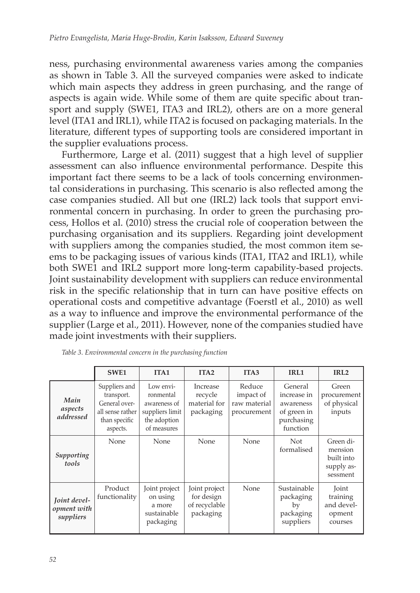ness, purchasing environmental awareness varies among the companies as shown in Table 3. All the surveyed companies were asked to indicate which main aspects they address in green purchasing, and the range of aspects is again wide. While some of them are quite specific about transport and supply (SWE1, ITA3 and IRL2), others are on a more general level (ITA1 and IRL1), while ITA2 is focused on packaging materials. In the literature, different types of supporting tools are considered important in the supplier evaluations process.

Furthermore, Large et al. (2011) suggest that a high level of supplier assessment can also influence environmental performance. Despite this important fact there seems to be a lack of tools concerning environmental considerations in purchasing. This scenario is also reflected among the case companies studied. All but one (IRL2) lack tools that support environmental concern in purchasing. In order to green the purchasing process, Hollos et al. (2010) stress the crucial role of cooperation between the purchasing organisation and its suppliers. Regarding joint development with suppliers among the companies studied, the most common item seems to be packaging issues of various kinds (ITA1, ITA2 and IRL1), while both SWE1 and IRL2 support more long-term capability-based projects. Joint sustainability development with suppliers can reduce environmental risk in the specific relationship that in turn can have positive effects on operational costs and competitive advantage (Foerstl et al., 2010) as well as a way to influence and improve the environmental performance of the supplier (Large et al., 2011). However, none of the companies studied have made joint investments with their suppliers.

|                                          | SWE1                                                                                          | ITA <sub>1</sub>                                                                         | ITA <sub>2</sub>                                          | ITA <sub>3</sub>                                   | IRL1                                                                         | IRL <sub>2</sub>                                             |
|------------------------------------------|-----------------------------------------------------------------------------------------------|------------------------------------------------------------------------------------------|-----------------------------------------------------------|----------------------------------------------------|------------------------------------------------------------------------------|--------------------------------------------------------------|
| Main<br>aspects<br>addressed             | Suppliers and<br>transport.<br>General over-<br>all sense rather<br>than specific<br>aspects. | Low envi-<br>ronmental<br>awareness of<br>suppliers limit<br>the adoption<br>of measures | Increase<br>recycle<br>material for<br>packaging          | Reduce<br>impact of<br>raw material<br>procurement | General<br>increase in<br>awareness<br>of green in<br>purchasing<br>function | Green<br>procurement<br>of physical<br>inputs                |
| Supporting<br>tools                      | None                                                                                          | None                                                                                     | None                                                      | None                                               | <b>Not</b><br>formalised                                                     | Green di-<br>mension<br>built into<br>supply as-<br>sessment |
| Joint devel-<br>opment with<br>suppliers | Product<br>functionality                                                                      | Joint project<br>on using<br>a more<br>sustainable<br>packaging                          | Joint project<br>for design<br>of recyclable<br>packaging | None                                               | Sustainable<br>packaging<br>by<br>packaging<br>suppliers                     | Joint<br>training<br>and devel-<br>opment<br>courses         |

*Table 3. Environmental concern in the purchasing function*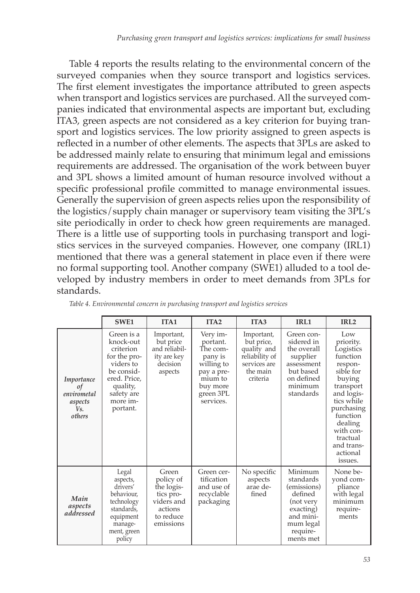Table 4 reports the results relating to the environmental concern of the surveyed companies when they source transport and logistics services. The first element investigates the importance attributed to green aspects when transport and logistics services are purchased. All the surveyed companies indicated that environmental aspects are important but, excluding ITA3, green aspects are not considered as a key criterion for buying transport and logistics services. The low priority assigned to green aspects is reflected in a number of other elements. The aspects that 3PLs are asked to be addressed mainly relate to ensuring that minimum legal and emissions requirements are addressed. The organisation of the work between buyer and 3PL shows a limited amount of human resource involved without a specific professional profile committed to manage environmental issues. Generally the supervision of green aspects relies upon the responsibility of the logistics/supply chain manager or supervisory team visiting the 3PL's site periodically in order to check how green requirements are managed. There is a little use of supporting tools in purchasing transport and logistics services in the surveyed companies. However, one company (IRL1) mentioned that there was a general statement in place even if there were no formal supporting tool. Another company (SWE1) alluded to a tool developed by industry members in order to meet demands from 3PLs for standards.

|                                                             | SWE <sub>1</sub>                                                                                                                                  | ITA <sub>1</sub>                                                                                 | ITA <sub>2</sub>                                                                                                         | ITA <sub>3</sub>                                                                                  | IRL1                                                                                                                        | IRL <sub>2</sub>                                                                                                                                                                                                        |
|-------------------------------------------------------------|---------------------------------------------------------------------------------------------------------------------------------------------------|--------------------------------------------------------------------------------------------------|--------------------------------------------------------------------------------------------------------------------------|---------------------------------------------------------------------------------------------------|-----------------------------------------------------------------------------------------------------------------------------|-------------------------------------------------------------------------------------------------------------------------------------------------------------------------------------------------------------------------|
| Importance<br>οf<br>envirometal<br>aspects<br>Vs.<br>others | Green is a<br>knock-out<br>criterion<br>for the pro-<br>viders to<br>be consid-<br>ered. Price,<br>quality,<br>safety are<br>more im-<br>portant. | Important,<br>but price<br>and reliabil-<br>ity are key<br>decision<br>aspects                   | Very im-<br>portant.<br>The com-<br>pany is<br>willing to<br>pay a pre-<br>mium to<br>buy more<br>green 3PL<br>services. | Important,<br>but price,<br>quality and<br>reliability of<br>services are<br>the main<br>criteria | Green con-<br>sidered in<br>the overall<br>supplier<br>assessment<br>but based<br>on defined<br>minimum<br>standards        | Low<br>priority.<br>Logistics<br>function<br>respon-<br>sible for<br>buying<br>transport<br>and logis-<br>tics while<br>purchasing<br>function<br>dealing<br>with con-<br>tractual<br>and trans-<br>actional<br>issues. |
| Main<br>aspects<br>addressed                                | Legal<br>aspects,<br>drivers'<br>behaviour,<br>technology<br>standards,<br>equipment<br>manage-<br>ment, green<br>policy                          | Green<br>policy of<br>the logis-<br>tics pro-<br>viders and<br>actions<br>to reduce<br>emissions | Green cer-<br>tification<br>and use of<br>recyclable<br>packaging                                                        | No specific<br>aspects<br>arae de-<br>fined                                                       | Minimum<br>standards<br>(emissions)<br>defined<br>(not very<br>exacting)<br>and mini-<br>mum legal<br>require-<br>ments met | None be-<br>yond com-<br>pliance<br>with legal<br>minimum<br>require-<br>ments                                                                                                                                          |

*Table 4. Environmental concern in purchasing transport and logistics services*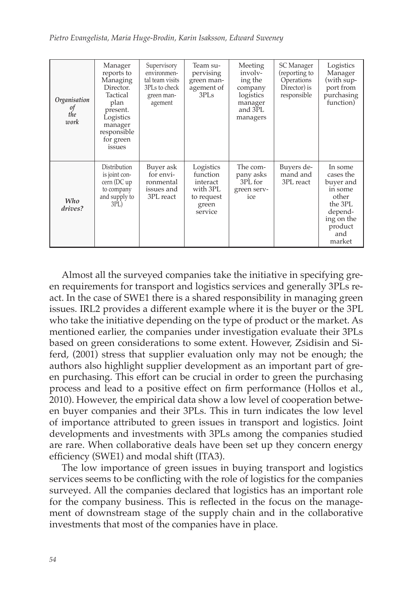| Organisation<br>οf<br>the<br>work | Manager<br>reports to<br>Managing<br>Director.<br>Tactical<br>plan<br>present.<br>Logistics<br>manager<br>responsible<br>for green<br>issues | Supervisory<br>environmen-<br>tal team visits<br>3PLs to check<br>green man-<br>agement | Team su-<br>pervising<br>green man-<br>agement of<br>3PLs                       | Meeting<br>involv-<br>ing the<br>company<br>logistics<br>manager<br>and 3PL<br>managers | SC Manager<br>(reporting to<br>Operations<br>Director) is<br>responsible | Logistics<br>Manager<br>(with sup-<br>port from<br>purchasing<br>function)                                            |
|-----------------------------------|----------------------------------------------------------------------------------------------------------------------------------------------|-----------------------------------------------------------------------------------------|---------------------------------------------------------------------------------|-----------------------------------------------------------------------------------------|--------------------------------------------------------------------------|-----------------------------------------------------------------------------------------------------------------------|
| Who<br>drives?                    | Distribution<br>is joint con-<br>cern (DC up<br>to company<br>and supply to<br>3PL)                                                          | Buyer ask<br>for envi-<br>ronmental<br>issues and<br>3PL react                          | Logistics<br>function<br>interact<br>with 3PL<br>to request<br>green<br>service | The com-<br>pany asks<br>3PL for<br>green serv-<br>ice                                  | Buyers de-<br>mand and<br>3PL react                                      | In some<br>cases the<br>buyer and<br>in some<br>other<br>the 3PL<br>depend-<br>ing on the<br>product<br>and<br>market |

Almost all the surveyed companies take the initiative in specifying green requirements for transport and logistics services and generally 3PLs react. In the case of SWE1 there is a shared responsibility in managing green issues. IRL2 provides a different example where it is the buyer or the 3PL who take the initiative depending on the type of product or the market. As mentioned earlier, the companies under investigation evaluate their 3PLs based on green considerations to some extent. However, Zsidisin and Siferd, (2001) stress that supplier evaluation only may not be enough; the authors also highlight supplier development as an important part of green purchasing. This effort can be crucial in order to green the purchasing process and lead to a positive effect on firm performance (Hollos et al., 2010). However, the empirical data show a low level of cooperation between buyer companies and their 3PLs. This in turn indicates the low level of importance attributed to green issues in transport and logistics. Joint developments and investments with 3PLs among the companies studied are rare. When collaborative deals have been set up they concern energy efficiency (SWE1) and modal shift (ITA3).

The low importance of green issues in buying transport and logistics services seems to be conflicting with the role of logistics for the companies surveyed. All the companies declared that logistics has an important role for the company business. This is reflected in the focus on the management of downstream stage of the supply chain and in the collaborative investments that most of the companies have in place.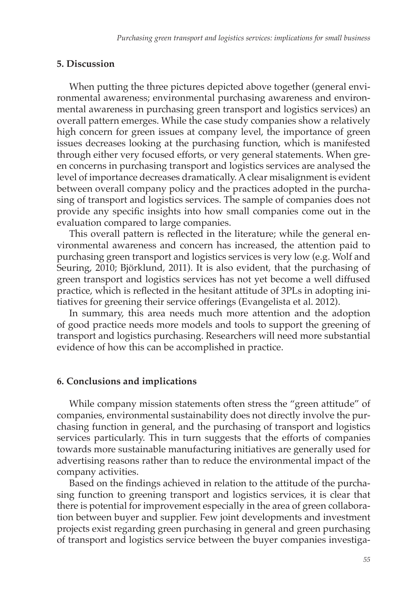#### **5. Discussion**

When putting the three pictures depicted above together (general environmental awareness; environmental purchasing awareness and environmental awareness in purchasing green transport and logistics services) an overall pattern emerges. While the case study companies show a relatively high concern for green issues at company level, the importance of green issues decreases looking at the purchasing function, which is manifested through either very focused efforts, or very general statements. When green concerns in purchasing transport and logistics services are analysed the level of importance decreases dramatically. A clear misalignment is evident between overall company policy and the practices adopted in the purchasing of transport and logistics services. The sample of companies does not provide any specific insights into how small companies come out in the evaluation compared to large companies.

This overall pattern is reflected in the literature; while the general environmental awareness and concern has increased, the attention paid to purchasing green transport and logistics services is very low (e.g. Wolf and Seuring, 2010; Björklund, 2011). It is also evident, that the purchasing of green transport and logistics services has not yet become a well diffused practice, which is reflected in the hesitant attitude of 3PLs in adopting initiatives for greening their service offerings (Evangelista et al. 2012).

In summary, this area needs much more attention and the adoption of good practice needs more models and tools to support the greening of transport and logistics purchasing. Researchers will need more substantial evidence of how this can be accomplished in practice.

#### **6. Conclusions and implications**

While company mission statements often stress the "green attitude" of companies, environmental sustainability does not directly involve the purchasing function in general, and the purchasing of transport and logistics services particularly. This in turn suggests that the efforts of companies towards more sustainable manufacturing initiatives are generally used for advertising reasons rather than to reduce the environmental impact of the company activities.

Based on the findings achieved in relation to the attitude of the purchasing function to greening transport and logistics services, it is clear that there is potential for improvement especially in the area of green collaboration between buyer and supplier. Few joint developments and investment projects exist regarding green purchasing in general and green purchasing of transport and logistics service between the buyer companies investiga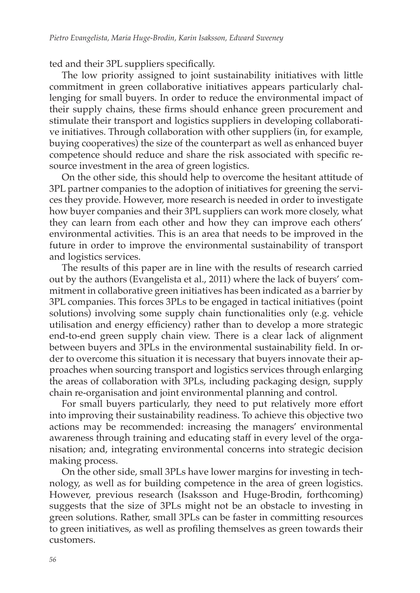ted and their 3PL suppliers specifically.

The low priority assigned to joint sustainability initiatives with little commitment in green collaborative initiatives appears particularly challenging for small buyers. In order to reduce the environmental impact of their supply chains, these firms should enhance green procurement and stimulate their transport and logistics suppliers in developing collaborative initiatives. Through collaboration with other suppliers (in, for example, buying cooperatives) the size of the counterpart as well as enhanced buyer competence should reduce and share the risk associated with specific resource investment in the area of green logistics.

On the other side, this should help to overcome the hesitant attitude of 3PL partner companies to the adoption of initiatives for greening the services they provide. However, more research is needed in order to investigate how buyer companies and their 3PL suppliers can work more closely, what they can learn from each other and how they can improve each others' environmental activities. This is an area that needs to be improved in the future in order to improve the environmental sustainability of transport and logistics services.

The results of this paper are in line with the results of research carried out by the authors (Evangelista et al., 2011) where the lack of buyers' commitment in collaborative green initiatives has been indicated as a barrier by 3PL companies. This forces 3PLs to be engaged in tactical initiatives (point solutions) involving some supply chain functionalities only (e.g. vehicle utilisation and energy efficiency) rather than to develop a more strategic end-to-end green supply chain view. There is a clear lack of alignment between buyers and 3PLs in the environmental sustainability field. In order to overcome this situation it is necessary that buyers innovate their approaches when sourcing transport and logistics services through enlarging the areas of collaboration with 3PLs, including packaging design, supply chain re-organisation and joint environmental planning and control.

For small buyers particularly, they need to put relatively more effort into improving their sustainability readiness. To achieve this objective two actions may be recommended: increasing the managers' environmental awareness through training and educating staff in every level of the organisation; and, integrating environmental concerns into strategic decision making process.

On the other side, small 3PLs have lower margins for investing in technology, as well as for building competence in the area of green logistics. However, previous research (Isaksson and Huge-Brodin, forthcoming) suggests that the size of 3PLs might not be an obstacle to investing in green solutions. Rather, small 3PLs can be faster in committing resources to green initiatives, as well as profiling themselves as green towards their customers.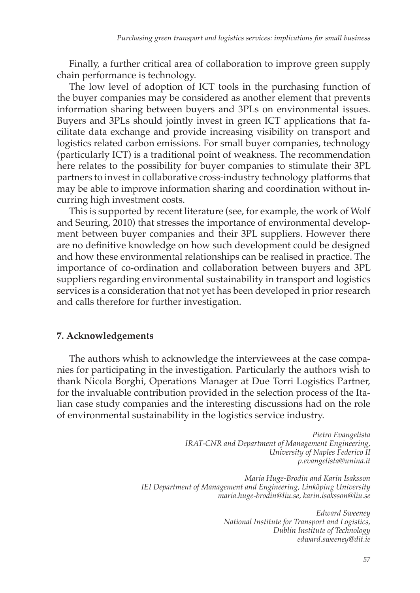Finally, a further critical area of collaboration to improve green supply chain performance is technology.

The low level of adoption of ICT tools in the purchasing function of the buyer companies may be considered as another element that prevents information sharing between buyers and 3PLs on environmental issues. Buyers and 3PLs should jointly invest in green ICT applications that facilitate data exchange and provide increasing visibility on transport and logistics related carbon emissions. For small buyer companies, technology (particularly ICT) is a traditional point of weakness. The recommendation here relates to the possibility for buyer companies to stimulate their 3PL partners to invest in collaborative cross-industry technology platforms that may be able to improve information sharing and coordination without incurring high investment costs.

This is supported by recent literature (see, for example, the work of Wolf and Seuring, 2010) that stresses the importance of environmental development between buyer companies and their 3PL suppliers. However there are no definitive knowledge on how such development could be designed and how these environmental relationships can be realised in practice. The importance of co-ordination and collaboration between buyers and 3PL suppliers regarding environmental sustainability in transport and logistics services is a consideration that not yet has been developed in prior research and calls therefore for further investigation.

#### **7. Acknowledgements**

The authors whish to acknowledge the interviewees at the case companies for participating in the investigation. Particularly the authors wish to thank Nicola Borghi, Operations Manager at Due Torri Logistics Partner, for the invaluable contribution provided in the selection process of the Italian case study companies and the interesting discussions had on the role of environmental sustainability in the logistics service industry.

> *Pietro Evangelista IRAT-CNR and Department of Management Engineering, University of Naples Federico II p.evangelista@unina.it*

*Maria Huge-Brodin and Karin Isaksson IEI Department of Management and Engineering, Linköping University maria.huge-brodin@liu.se, karin.isaksson@liu.se* 

> *Edward Sweeney National Institute for Transport and Logistics, Dublin Institute of Technology edward.sweeney@dit.ie*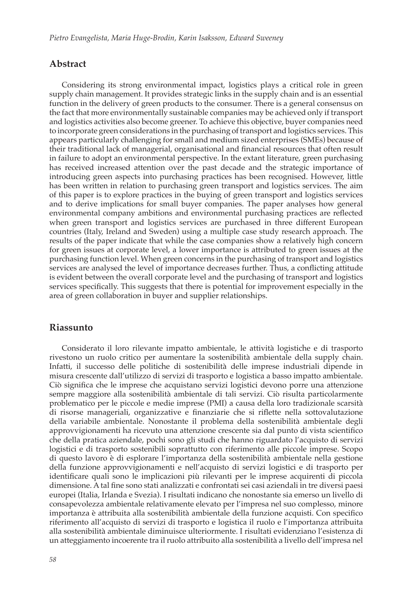#### **Abstract**

Considering its strong environmental impact, logistics plays a critical role in green supply chain management. It provides strategic links in the supply chain and is an essential function in the delivery of green products to the consumer. There is a general consensus on the fact that more environmentally sustainable companies may be achieved only if transport and logistics activities also become greener. To achieve this objective, buyer companies need to incorporate green considerations in the purchasing of transport and logistics services. This appears particularly challenging for small and medium sized enterprises (SMEs) because of their traditional lack of managerial, organisational and financial resources that often result in failure to adopt an environmental perspective. In the extant literature, green purchasing has received increased attention over the past decade and the strategic importance of introducing green aspects into purchasing practices has been recognised. However, little has been written in relation to purchasing green transport and logistics services. The aim of this paper is to explore practices in the buying of green transport and logistics services and to derive implications for small buyer companies. The paper analyses how general environmental company ambitions and environmental purchasing practices are reflected when green transport and logistics services are purchased in three different European countries (Italy, Ireland and Sweden) using a multiple case study research approach. The results of the paper indicate that while the case companies show a relatively high concern for green issues at corporate level, a lower importance is attributed to green issues at the purchasing function level. When green concerns in the purchasing of transport and logistics services are analysed the level of importance decreases further. Thus, a conflicting attitude is evident between the overall corporate level and the purchasing of transport and logistics services specifically. This suggests that there is potential for improvement especially in the area of green collaboration in buyer and supplier relationships.

#### **Riassunto**

Considerato il loro rilevante impatto ambientale, le attività logistiche e di trasporto rivestono un ruolo critico per aumentare la sostenibilità ambientale della supply chain. Infatti, il successo delle politiche di sostenibilità delle imprese industriali dipende in misura crescente dall'utilizzo di servizi di trasporto e logistica a basso impatto ambientale. Ciò significa che le imprese che acquistano servizi logistici devono porre una attenzione sempre maggiore alla sostenibilità ambientale di tali servizi. Ciò risulta particolarmente problematico per le piccole e medie imprese (PMI) a causa della loro tradizionale scarsità di risorse manageriali, organizzative e finanziarie che si riflette nella sottovalutazione della variabile ambientale. Nonostante il problema della sostenibilità ambientale degli approvvigionamenti ha ricevuto una attenzione crescente sia dal punto di vista scientifico che della pratica aziendale, pochi sono gli studi che hanno riguardato l'acquisto di servizi logistici e di trasporto sostenibili soprattutto con riferimento alle piccole imprese. Scopo di questo lavoro è di esplorare l'importanza della sostenibilità ambientale nella gestione della funzione approvvigionamenti e nell'acquisto di servizi logistici e di trasporto per identificare quali sono le implicazioni più rilevanti per le imprese acquirenti di piccola dimensione. A tal fine sono stati analizzati e confrontati sei casi aziendali in tre diversi paesi europei (Italia, Irlanda e Svezia). I risultati indicano che nonostante sia emerso un livello di consapevolezza ambientale relativamente elevato per l'impresa nel suo complesso, minore importanza è attribuita alla sostenibilità ambientale della funzione acquisti. Con specifico riferimento all'acquisto di servizi di trasporto e logistica il ruolo e l'importanza attribuita alla sostenibilità ambientale diminuisce ulteriormente. I risultati evidenziano l'esistenza di un atteggiamento incoerente tra il ruolo attribuito alla sostenibilità a livello dell'impresa nel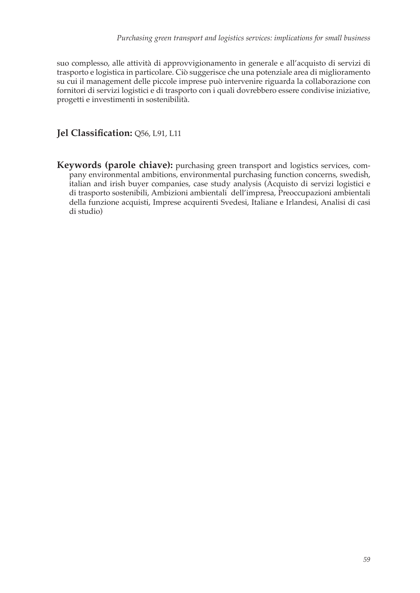suo complesso, alle attività di approvvigionamento in generale e all'acquisto di servizi di trasporto e logistica in particolare. Ciò suggerisce che una potenziale area di miglioramento su cui il management delle piccole imprese può intervenire riguarda la collaborazione con fornitori di servizi logistici e di trasporto con i quali dovrebbero essere condivise iniziative, progetti e investimenti in sostenibilità.

#### **Jel Classification:** Q56, L91, L11

**Keywords (parole chiave):** purchasing green transport and logistics services, company environmental ambitions, environmental purchasing function concerns, swedish, italian and irish buyer companies, case study analysis (Acquisto di servizi logistici e di trasporto sostenibili, Ambizioni ambientali dell'impresa, Preoccupazioni ambientali della funzione acquisti, Imprese acquirenti Svedesi, Italiane e Irlandesi, Analisi di casi di studio)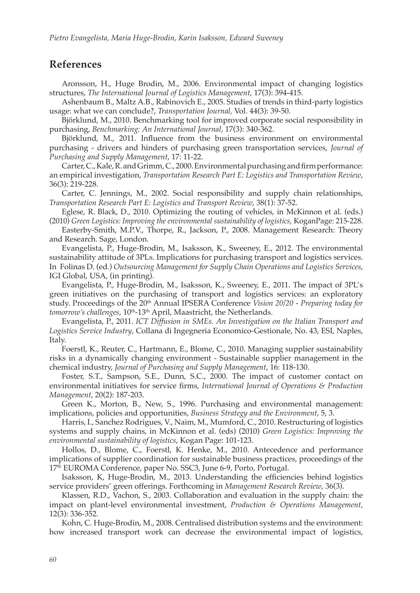#### **References**

Aronsson, H., Huge Brodin, M., 2006. Environmental impact of changing logistics structures, *The International Journal of Logistics Management*, 17(3): 394-415.

Ashenbaum B., Maltz A.B., Rabinovich E., 2005. Studies of trends in third-party logistics usage: what we can conclude?, *Transportation Journal,* Vol. 44(3): 39-50.

Björklund, M., 2010. Benchmarking tool for improved corporate social responsibility in purchasing, *Benchmarking: An International Journal*, 17(3): 340-362.

Björklund, M., 2011. Influence from the business environment on environmental purchasing - drivers and hinders of purchasing green transportation services, *Journal of Purchasing and Supply Management*, 17: 11-22.

Carter, C., Kale, R. and Grimm, C., 2000. Environmental purchasing and firm performance: an empirical investigation, *Transportation Research Part E: Logistics and Transportation Review*, 36(3): 219-228.

Carter, C. Jennings, M., 2002. Social responsibility and supply chain relationships, *Transportation Research Part E: Logistics and Transport Review*, 38(1): 37-52.

Eglese, R. Black, D., 2010. Optimizing the routing of vehicles, in McKinnon et al. (eds.) (2010) *Green Logistics: Improving the environmental sustainability of logistics*, KoganPage: 215-228.

Easterby-Smith, M.P.V., Thorpe, R., Jackson, P., 2008. Management Research: Theory and Research. Sage, London.

Evangelista, P., Huge-Brodin, M., Isaksson, K., Sweeney, E., 2012. The environmental sustainability attitude of 3PLs. Implications for purchasing transport and logistics services. In Folinas D. (ed.) *Outsourcing Management for Supply Chain Operations and Logistics Services*, IGI Global, USA, (in printing).

Evangelista, P., Huge-Brodin, M., Isaksson, K., Sweeney, E., 2011. The impact of 3PL's green initiatives on the purchasing of transport and logistics services: an exploratory study. Proceedings of the 20th Annual IPSERA Conference *Vision 20/20 - Preparing today for*  tomorrow's challenges, 10<sup>th</sup>-13<sup>th</sup> April, Maastricht, the Netherlands.

Evangelista, P., 2011. *ICT Diffusion in SMEs. An Investigation on the Italian Transport and Logistics Service Industry*, Collana di Ingegneria Economico-Gestionale, No. 43, ESI, Naples, Italy.

Foerstl, K., Reuter, C., Hartmann, E., Blome, C., 2010. Managing supplier sustainability risks in a dynamically changing environment - Sustainable supplier management in the chemical industry, *Journal of Purchasing and Supply Management*, 16: 118-130.

Foster, S.T., Sampson, S.E., Dunn, S.C., 2000. The impact of customer contact on environmental initiatives for service firms, *International Journal of Operations & Production Management*, 20(2): 187-203.

Green K., Morton, B., New, S., 1996. Purchasing and environmental management: implications, policies and opportunities, *Business Strategy and the Environment*, 5, 3.

Harris, I., Sanchez Rodrigues, V., Naim, M., Mumford, C., 2010. Restructuring of logistics systems and supply chains, in McKinnon et al. (eds) (2010) *Green Logistics: Improving the environmental sustainability of logistics*, Kogan Page: 101-123.

Hollos, D., Blome, C., Foerstl, K. Henke, M., 2010. Antecedence and performance implications of supplier coordination for sustainable business practices, proceedings of the 17th EUROMA Conference, paper No. SSC3, June 6-9, Porto, Portugal.

Isaksson, K, Huge-Brodin, M., 2013. Understanding the efficiencies behind logistics service providers' green offerings. Forthcoming in *Management Research Review*, 36(3).

Klassen, R.D., Vachon, S., 2003. Collaboration and evaluation in the supply chain: the impact on plant-level environmental investment, *Production & Operations Management*, 12(3): 336-352.

Kohn, C. Huge-Brodin, M., 2008. Centralised distribution systems and the environment: how increased transport work can decrease the environmental impact of logistics,